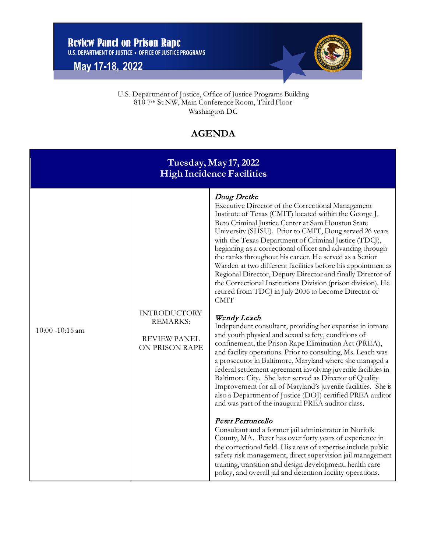**May 17-18, 2022**



 U.S. Department of Justice, Office of Justice Programs Building 810 7th St NW, Main Conference Room, Third Floor Washington DC

## **AGENDA**

| Tuesday, May 17, 2022<br><b>High Incidence Facilities</b> |                                                                                 |                                                                                                                                                                                                                                                                                                                                                                                                                                                                                                                                                                                                                                                                                                                                                                                                                                                                                                                                                                                                                                                                                                                                                                                                                                                                                                                                                                                                                                                                                                                                                                                                                                                                                                                                       |  |  |
|-----------------------------------------------------------|---------------------------------------------------------------------------------|---------------------------------------------------------------------------------------------------------------------------------------------------------------------------------------------------------------------------------------------------------------------------------------------------------------------------------------------------------------------------------------------------------------------------------------------------------------------------------------------------------------------------------------------------------------------------------------------------------------------------------------------------------------------------------------------------------------------------------------------------------------------------------------------------------------------------------------------------------------------------------------------------------------------------------------------------------------------------------------------------------------------------------------------------------------------------------------------------------------------------------------------------------------------------------------------------------------------------------------------------------------------------------------------------------------------------------------------------------------------------------------------------------------------------------------------------------------------------------------------------------------------------------------------------------------------------------------------------------------------------------------------------------------------------------------------------------------------------------------|--|--|
| $10:00 - 10:15$ am                                        | <b>INTRODUCTORY</b><br><b>REMARKS:</b><br><b>REVIEW PANEL</b><br>ON PRISON RAPE | Doug Dretke<br>Executive Director of the Correctional Management<br>Institute of Texas (CMIT) located within the George J.<br>Beto Criminal Justice Center at Sam Houston State<br>University (SHSU). Prior to CMIT, Doug served 26 years<br>with the Texas Department of Criminal Justice (TDCJ),<br>beginning as a correctional officer and advancing through<br>the ranks throughout his career. He served as a Senior<br>Warden at two different facilities before his appointment as<br>Regional Director, Deputy Director and finally Director of<br>the Correctional Institutions Division (prison division). He<br>retired from TDCJ in July 2006 to become Director of<br><b>CMIT</b><br>Wendy Leach<br>Independent consultant, providing her expertise in inmate<br>and youth physical and sexual safety, conditions of<br>confinement, the Prison Rape Elimination Act (PREA),<br>and facility operations. Prior to consulting, Ms. Leach was<br>a prosecutor in Baltimore, Maryland where she managed a<br>federal settlement agreement involving juvenile facilities in<br>Baltimore City. She later served as Director of Quality<br>Improvement for all of Maryland's juvenile facilities. She is<br>also a Department of Justice (DOJ) certified PREA auditor<br>and was part of the inaugural PREA auditor class.<br>Peter Perroncello<br>Consultant and a former jail administrator in Norfolk<br>County, MA. Peter has over forty years of experience in<br>the correctional field. His areas of expertise include public<br>safety risk management, direct supervision jail management<br>training, transition and design development, health care<br>policy, and overall jail and detention facility operations. |  |  |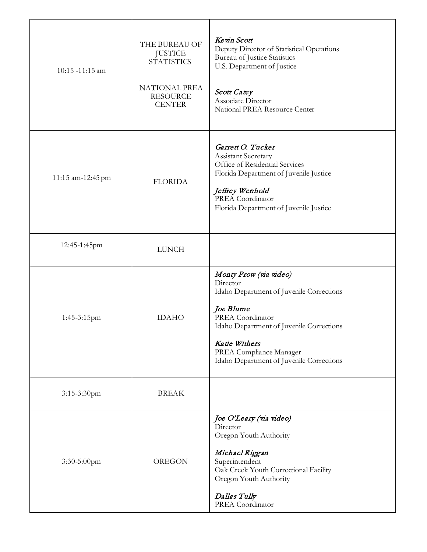| 10:15 -11:15 am   | THE BUREAU OF<br><b>JUSTICE</b><br><b>STATISTICS</b><br><b>NATIONAL PREA</b><br><b>RESOURCE</b><br><b>CENTER</b> | Kevin Scott<br>Deputy Director of Statistical Operations<br><b>Bureau of Justice Statistics</b><br>U.S. Department of Justice<br><b>Scott Catey</b><br>Associate Director<br>National PREA Resource Center                                          |
|-------------------|------------------------------------------------------------------------------------------------------------------|-----------------------------------------------------------------------------------------------------------------------------------------------------------------------------------------------------------------------------------------------------|
| 11:15 am-12:45 pm | <b>FLORIDA</b>                                                                                                   | Garrett O. Tucker<br>Assistant Secretary<br>Office of Residential Services<br>Florida Department of Juvenile Justice<br>Jeffrey Wenhold<br>PREA Coordinator<br>Florida Department of Juvenile Justice                                               |
| 12:45-1:45pm      | <b>LUNCH</b>                                                                                                     |                                                                                                                                                                                                                                                     |
| 1:45-3:15pm       | <b>IDAHO</b>                                                                                                     | Monty Prow (via video)<br>Director<br>Idaho Department of Juvenile Corrections<br>Joe Blume<br>PREA Coordinator<br>Idaho Department of Juvenile Corrections<br>Katie Withers<br>PREA Compliance Manager<br>Idaho Department of Juvenile Corrections |
| 3:15-3:30pm       | <b>BREAK</b>                                                                                                     |                                                                                                                                                                                                                                                     |
| 3:30-5:00pm       | <b>OREGON</b>                                                                                                    | Joe O'Leary (via video)<br>Director<br>Oregon Youth Authority<br>Michael Riggan<br>Superintendent<br>Oak Creek Youth Correctional Facility<br>Oregon Youth Authority<br>Dallas Tully<br>PREA Coordinator                                            |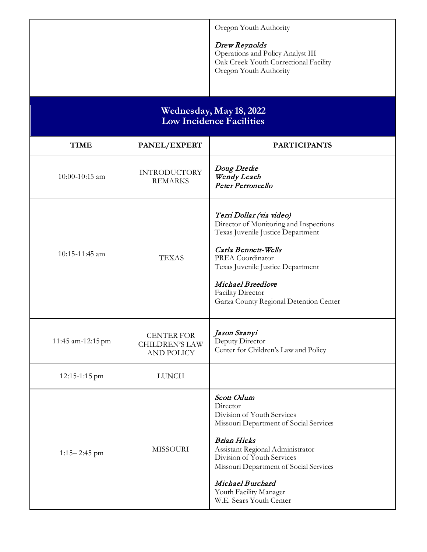|                                                            |                                                                 | Oregon Youth Authority<br>Drew Reynolds<br>Operations and Policy Analyst III<br>Oak Creek Youth Correctional Facility<br>Oregon Youth Authority                                                                                                                                                           |  |  |  |
|------------------------------------------------------------|-----------------------------------------------------------------|-----------------------------------------------------------------------------------------------------------------------------------------------------------------------------------------------------------------------------------------------------------------------------------------------------------|--|--|--|
| Wednesday, May 18, 2022<br><b>Low Incidence Facilities</b> |                                                                 |                                                                                                                                                                                                                                                                                                           |  |  |  |
| <b>TIME</b>                                                | PANEL/EXPERT                                                    | <b>PARTICIPANTS</b>                                                                                                                                                                                                                                                                                       |  |  |  |
| 10:00-10:15 am                                             | <b>INTRODUCTORY</b><br><b>REMARKS</b>                           | Doug Dretke<br>Wendy Leach<br>Peter Perroncello                                                                                                                                                                                                                                                           |  |  |  |
| 10:15-11:45 am                                             | <b>TEXAS</b>                                                    | Terri Dollar (via video)<br>Director of Monitoring and Inspections<br>Texas Juvenile Justice Department<br>Carla Bennett-Wells<br>PREA Coordinator<br>Texas Juvenile Justice Department<br>Michael Breedlove<br>Facility Director<br>Garza County Regional Detention Center                               |  |  |  |
| 11:45 am-12:15 pm                                          | <b>CENTER FOR</b><br><b>CHILDREN'S LAW</b><br><b>AND POLICY</b> | Jason Szanyi<br>Deputy Director<br>Center for Children's Law and Policy                                                                                                                                                                                                                                   |  |  |  |
| 12:15-1:15 pm                                              | <b>LUNCH</b>                                                    |                                                                                                                                                                                                                                                                                                           |  |  |  |
| $1:15 - 2:45$ pm                                           | <b>MISSOURI</b>                                                 | Scott Odum<br>Director<br>Division of Youth Services<br>Missouri Department of Social Services<br><b>Brian Hicks</b><br>Assistant Regional Administrator<br>Division of Youth Services<br>Missouri Department of Social Services<br>Michael Burchard<br>Youth Facility Manager<br>W.E. Sears Youth Center |  |  |  |